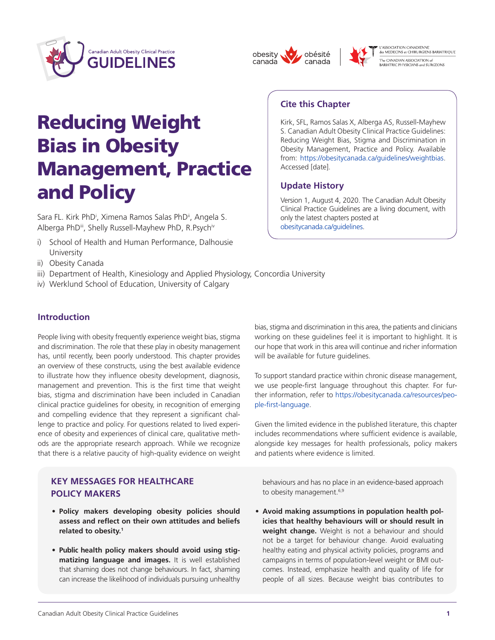





des MEDECINS et CHIRURGIENS BARIATRIQUE -<br>The CANADIAN ASSOCIATION of<br>BARIATRIC PHYSICIANS and SURGEONS

# Reducing Weight Bias in Obesity Management, Practice and Policy

Sara FL. Kirk PhD<sup>i</sup>, Ximena Ramos Salas PhD<sup>i</sup>, Angela S. Alberga PhDii, Shelly Russell-Mayhew PhD, R.Psychiv

- i) School of Health and Human Performance, Dalhousie University
- ii) Obesity Canada
- iii) Department of Health, Kinesiology and Applied Physiology, Concordia University
- iv) Werklund School of Education, University of Calgary

# **Introduction**

People living with obesity frequently experience weight bias, stigma and discrimination. The role that these play in obesity management has, until recently, been poorly understood. This chapter provides an overview of these constructs, using the best available evidence to illustrate how they influence obesity development, diagnosis, management and prevention. This is the first time that weight bias, stigma and discrimination have been included in Canadian clinical practice guidelines for obesity, in recognition of emerging and compelling evidence that they represent a significant challenge to practice and policy. For questions related to lived experience of obesity and experiences of clinical care, qualitative methods are the appropriate research approach. While we recognize that there is a relative paucity of high-quality evidence on weight

# **KEY MESSAGES FOR HEALTHCARE POLICY MAKERS**

- **• Policy makers developing obesity policies should assess and reflect on their own attitudes and beliefs related to obesity.<sup>1</sup>**
- **• Public health policy makers should avoid using stigmatizing language and images.** It is well established that shaming does not change behaviours. In fact, shaming can increase the likelihood of individuals pursuing unhealthy

# **Cite this Chapter**

Kirk, SFL, Ramos Salas X, Alberga AS, Russell-Mayhew S. Canadian Adult Obesity Clinical Practice Guidelines: Reducing Weight Bias, Stigma and Discrimination in Obesity Management, Practice and Policy. Available from: https://obesitycanada.ca/guidelines/weightbias. Accessed [date].

# **Update History**

Version 1, August 4, 2020. The Canadian Adult Obesity Clinical Practice Guidelines are a living document, with only the latest chapters posted at [obesitycanada.ca/guidelines.](www.obesitycanada.ca/guidelines)

bias, stigma and discrimination in this area, the patients and clinicians working on these guidelines feel it is important to highlight. It is our hope that work in this area will continue and richer information will be available for future guidelines.

To support standard practice within chronic disease management, we use people-first language throughout this chapter. For fur[ther information, refer to https://obesitycanada.ca/resources/peo](https://obesitycanada.ca/resources/people-first-language/)ple-first-language.

Given the limited evidence in the published literature, this chapter includes recommendations where sufficient evidence is available, alongside key messages for health professionals, policy makers and patients where evidence is limited.

behaviours and has no place in an evidence-based approach to obesity management.<sup>6,9</sup>

• **Avoid making assumptions in population health policies that healthy behaviours will or should result in weight change.** Weight is not a behaviour and should not be a target for behaviour change. Avoid evaluating healthy eating and physical activity policies, programs and campaigns in terms of population-level weight or BMI outcomes. Instead, emphasize health and quality of life for people of all sizes. Because weight bias contributes to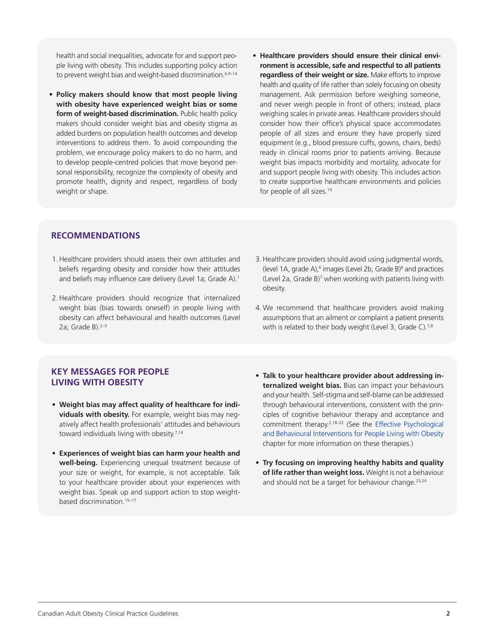health and social inequalities, advocate for and support people living with obesity. This includes supporting policy action to prevent weight bias and weight-based discrimination.<sup>6,9-14</sup>

- **• Policy makers should know that most people living with obesity have experienced weight bias or some form of weight-based discrimination.** Public health policy makers should consider weight bias and obesity stigma as added burdens on population health outcomes and develop interventions to address them. To avoid compounding the problem, we encourage policy makers to do no harm, and to develop people-centred policies that move beyond personal responsibility, recognize the complexity of obesity and promote health, dignity and respect, regardless of body weight or shape.
- **• Healthcare providers should ensure their clinical environment is accessible, safe and respectful to all patients regardless of their weight or size.** Make efforts to improve health and quality of life rather than solely focusing on obesity management. Ask permission before weighing someone, and never weigh people in front of others; instead, place weighing scales in private areas. Healthcare providers should consider how their office's physical space accommodates people of all sizes and ensure they have properly sized equipment (e.g., blood pressure cuffs, gowns, chairs, beds) ready in clinical rooms prior to patients arriving. Because weight bias impacts morbidity and mortality, advocate for and support people living with obesity. This includes action to create supportive healthcare environments and policies for people of all sizes.<sup>14</sup>

### **RECOMMENDATIONS**

- 1.Healthcare providers should assess their own attitudes and beliefs regarding obesity and consider how their attitudes and beliefs may influence care delivery (Level 1a; Grade A).<sup>1</sup>
- 2.Healthcare providers should recognize that internalized weight bias (bias towards oneself) in people living with obesity can affect behavioural and health outcomes (Level 2a; Grade B). $2-5$
- 3.Healthcare providers should avoid using judgmental words, (level 1A, grade A),<sup>6</sup> images (Level 2b, Grade B)<sup>6</sup> and practices (Level 2a, Grade B)<sup>7</sup> when working with patients living with obesity.
- 4. We recommend that healthcare providers avoid making assumptions that an ailment or complaint a patient presents with is related to their body weight (Level 3, Grade C).<sup>7,8</sup>

### **KEY MESSAGES FOR PEOPLE LIVING WITH OBESITY**

- • **Weight bias may affect quality of healthcare for individuals with obesity.** For example, weight bias may negatively affect health professionals' attitudes and behaviours toward individuals living with obesity.<sup>7,14</sup>
- • **Experiences of weight bias can harm your health and well-being.** Experiencing unequal treatment because of your size or weight, for example, is not acceptable. Talk to your healthcare provider about your experiences with weight bias. Speak up and support action to stop weightbased discrimination.<sup>15-17</sup>
- • **Talk to your healthcare provider about addressing internalized weight bias.** Bias can impact your behaviours and your health. Self-stigma and self-blame can be addressed through behavioural interventions, consistent with the principles of cognitive behaviour therapy and acceptance and [commitment therapy.2,18–22 \(See the Effective Psychological](https://obesitycanada.ca/guidelines/behavioural/)  and Behavioural Interventions for People Living with Obesity chapter for more information on these therapies.)
- • **Try focusing on improving healthy habits and quality of life rather than weight loss.** Weight is not a behaviour and should not be a target for behaviour change.<sup>23,24</sup>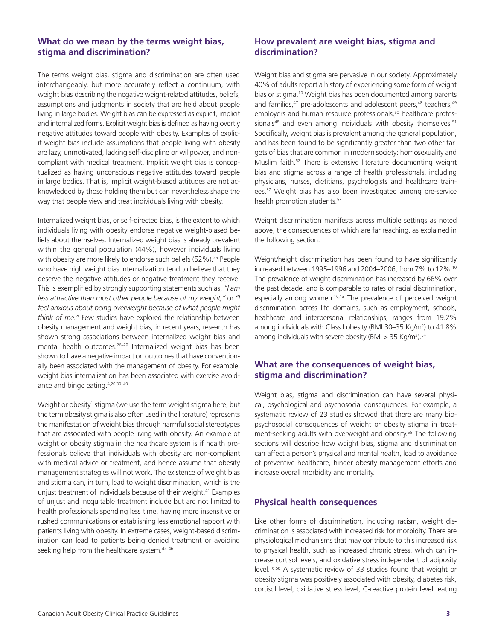## **What do we mean by the terms weight bias, stigma and discrimination?**

The terms weight bias, stigma and discrimination are often used interchangeably, but more accurately reflect a continuum, with weight bias describing the negative weight-related attitudes, beliefs, assumptions and judgments in society that are held about people living in large bodies. Weight bias can be expressed as explicit, implicit and internalized forms. Explicit weight bias is defined as having overtly negative attitudes toward people with obesity. Examples of explicit weight bias include assumptions that people living with obesity are lazy, unmotivated, lacking self-discipline or willpower, and noncompliant with medical treatment. Implicit weight bias is conceptualized as having unconscious negative attitudes toward people in large bodies. That is, implicit weight-biased attitudes are not acknowledged by those holding them but can nevertheless shape the way that people view and treat individuals living with obesity.

Internalized weight bias, or self-directed bias, is the extent to which individuals living with obesity endorse negative weight-biased beliefs about themselves. Internalized weight bias is already prevalent within the general population (44%), however individuals living with obesity are more likely to endorse such beliefs (52%).<sup>25</sup> People who have high weight bias internalization tend to believe that they deserve the negative attitudes or negative treatment they receive. This is exemplified by strongly supporting statements such as, *"I am less attractive than most other people because of my weight,"* or *"I feel anxious about being overweight because of what people might think of me."* Few studies have explored the relationship between obesity management and weight bias; in recent years, research has shown strong associations between internalized weight bias and mental health outcomes.<sup>26-29</sup> Internalized weight bias has been shown to have a negative impact on outcomes that have conventionally been associated with the management of obesity. For example, weight bias internalization has been associated with exercise avoidance and binge eating.4,20,30–40

Weight or obesity<sup>1</sup> stigma (we use the term weight stigma here, but the term obesity stigma is also often used in the literature) represents the manifestation of weight bias through harmful social stereotypes that are associated with people living with obesity. An example of weight or obesity stigma in the healthcare system is if health professionals believe that individuals with obesity are non-compliant with medical advice or treatment, and hence assume that obesity management strategies will not work. The existence of weight bias and stigma can, in turn, lead to weight discrimination, which is the unjust treatment of individuals because of their weight.41 Examples of unjust and inequitable treatment include but are not limited to health professionals spending less time, having more insensitive or rushed communications or establishing less emotional rapport with patients living with obesity. In extreme cases, weight-based discrimination can lead to patients being denied treatment or avoiding seeking help from the healthcare system.<sup>42-46</sup>

# **How prevalent are weight bias, stigma and discrimination?**

Weight bias and stigma are pervasive in our society. Approximately 40% of adults report a history of experiencing some form of weight bias or stigma.10 Weight bias has been documented among parents and families,<sup>47</sup> pre-adolescents and adolescent peers,<sup>48</sup> teachers,<sup>49</sup> employers and human resource professionals,<sup>50</sup> healthcare professionals<sup>48</sup> and even among individuals with obesity themselves.<sup>51</sup> Specifically, weight bias is prevalent among the general population, and has been found to be significantly greater than two other targets of bias that are common in modern society: homosexuality and Muslim faith.52 There is extensive literature documenting weight bias and stigma across a range of health professionals, including physicians, nurses, dietitians, psychologists and healthcare trainees.37 Weight bias has also been investigated among pre-service health promotion students.<sup>53</sup>

Weight discrimination manifests across multiple settings as noted above, the consequences of which are far reaching, as explained in the following section.

Weight/height discrimination has been found to have significantly increased between 1995–1996 and 2004–2006, from 7% to 12%.10 The prevalence of weight discrimination has increased by 66% over the past decade, and is comparable to rates of racial discrimination, especially among women.<sup>10,13</sup> The prevalence of perceived weight discrimination across life domains, such as employment, schools, healthcare and interpersonal relationships, ranges from 19.2% among individuals with Class I obesity (BMI 30–35 Kg/m<sup>2</sup>) to 41.8% among individuals with severe obesity (BMI > 35 Kg/m2 ).54

## **What are the consequences of weight bias, stigma and discrimination?**

Weight bias, stigma and discrimination can have several physical, psychological and psychosocial consequences. For example, a systematic review of 23 studies showed that there are many biopsychosocial consequences of weight or obesity stigma in treatment-seeking adults with overweight and obesity.<sup>55</sup> The following sections will describe how weight bias, stigma and discrimination can affect a person's physical and mental health, lead to avoidance of preventive healthcare, hinder obesity management efforts and increase overall morbidity and mortality.

### **Physical health consequences**

Like other forms of discrimination, including racism, weight discrimination is associated with increased risk for morbidity. There are physiological mechanisms that may contribute to this increased risk to physical health, such as increased chronic stress, which can increase cortisol levels, and oxidative stress independent of adiposity level.16,56 A systematic review of 33 studies found that weight or obesity stigma was positively associated with obesity, diabetes risk, cortisol level, oxidative stress level, C-reactive protein level, eating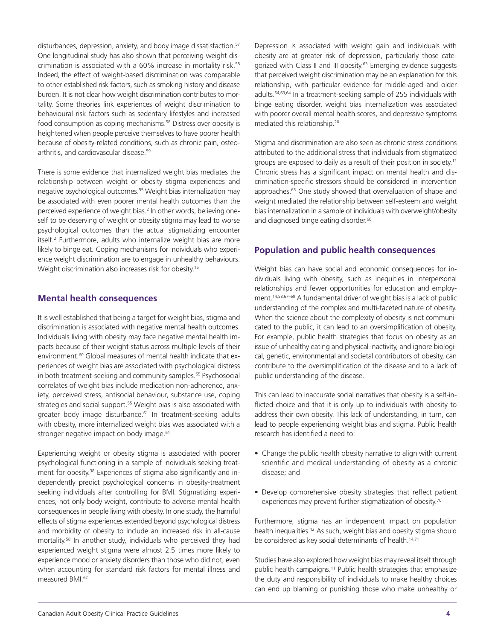disturbances, depression, anxiety, and body image dissatisfaction.<sup>57</sup> One longitudinal study has also shown that perceiving weight discrimination is associated with a 60% increase in mortality risk.<sup>58</sup> Indeed, the effect of weight-based discrimination was comparable to other established risk factors, such as smoking history and disease burden. It is not clear how weight discrimination contributes to mortality. Some theories link experiences of weight discrimination to behavioural risk factors such as sedentary lifestyles and increased food consumption as coping mechanisms.<sup>58</sup> Distress over obesity is heightened when people perceive themselves to have poorer health because of obesity-related conditions, such as chronic pain, osteoarthritis, and cardiovascular disease.59

There is some evidence that internalized weight bias mediates the relationship between weight or obesity stigma experiences and negative psychological outcomes.<sup>55</sup> Weight bias internalization may be associated with even poorer mental health outcomes than the perceived experience of weight bias.<sup>2</sup> In other words, believing oneself to be deserving of weight or obesity stigma may lead to worse psychological outcomes than the actual stigmatizing encounter itself.2 Furthermore, adults who internalize weight bias are more likely to binge eat. Coping mechanisms for individuals who experience weight discrimination are to engage in unhealthy behaviours. Weight discrimination also increases risk for obesity.<sup>15</sup>

#### **Mental health consequences**

It is well established that being a target for weight bias, stigma and discrimination is associated with negative mental health outcomes. Individuals living with obesity may face negative mental health impacts because of their weight status across multiple levels of their environment.<sup>60</sup> Global measures of mental health indicate that experiences of weight bias are associated with psychological distress in both treatment-seeking and community samples.<sup>55</sup> Psychosocial correlates of weight bias include medication non-adherence, anxiety, perceived stress, antisocial behaviour, substance use, coping strategies and social support.<sup>55</sup> Weight bias is also associated with greater body image disturbance.<sup>61</sup> In treatment-seeking adults with obesity, more internalized weight bias was associated with a stronger negative impact on body image.<sup>61</sup>

Experiencing weight or obesity stigma is associated with poorer psychological functioning in a sample of individuals seeking treatment for obesity.<sup>38</sup> Experiences of stigma also significantly and independently predict psychological concerns in obesity-treatment seeking individuals after controlling for BMI. Stigmatizing experiences, not only body weight, contribute to adverse mental health consequences in people living with obesity. In one study, the harmful effects of stigma experiences extended beyond psychological distress and morbidity of obesity to include an increased risk in all-cause mortality.58 In another study, individuals who perceived they had experienced weight stigma were almost 2.5 times more likely to experience mood or anxiety disorders than those who did not, even when accounting for standard risk factors for mental illness and measured BMI.<sup>62</sup>

Depression is associated with weight gain and individuals with obesity are at greater risk of depression, particularly those categorized with Class II and III obesity.<sup>63</sup> Emerging evidence suggests that perceived weight discrimination may be an explanation for this relationship, with particular evidence for middle-aged and older adults.54,63,64 In a treatment-seeking sample of 255 individuals with binge eating disorder, weight bias internalization was associated with poorer overall mental health scores, and depressive symptoms mediated this relationship.20

Stigma and discrimination are also seen as chronic stress conditions attributed to the additional stress that individuals from stigmatized groups are exposed to daily as a result of their position in society.12 Chronic stress has a significant impact on mental health and discrimination-specific stressors should be considered in intervention approaches.<sup>65</sup> One study showed that overvaluation of shape and weight mediated the relationship between self-esteem and weight bias internalization in a sample of individuals with overweight/obesity and diagnosed binge eating disorder.<sup>66</sup>

### **Population and public health consequences**

Weight bias can have social and economic consequences for individuals living with obesity, such as inequities in interpersonal relationships and fewer opportunities for education and employment.14,58,67–69 A fundamental driver of weight bias is a lack of public understanding of the complex and multi-faceted nature of obesity. When the science about the complexity of obesity is not communicated to the public, it can lead to an oversimplification of obesity. For example, public health strategies that focus on obesity as an issue of unhealthy eating and physical inactivity, and ignore biological, genetic, environmental and societal contributors of obesity, can contribute to the oversimplification of the disease and to a lack of public understanding of the disease.

This can lead to inaccurate social narratives that obesity is a self-inflicted choice and that it is only up to individuals with obesity to address their own obesity. This lack of understanding, in turn, can lead to people experiencing weight bias and stigma. Public health research has identified a need to:

- Change the public health obesity narrative to align with current scientific and medical understanding of obesity as a chronic disease; and
- Develop comprehensive obesity strategies that reflect patient experiences may prevent further stigmatization of obesity.<sup>70</sup>

Furthermore, stigma has an independent impact on population health inequalities.<sup>12</sup> As such, weight bias and obesity stigma should be considered as key social determinants of health.<sup>14,71</sup>

Studies have also explored how weight bias may reveal itself through public health campaigns.<sup>11</sup> Public health strategies that emphasize the duty and responsibility of individuals to make healthy choices can end up blaming or punishing those who make unhealthy or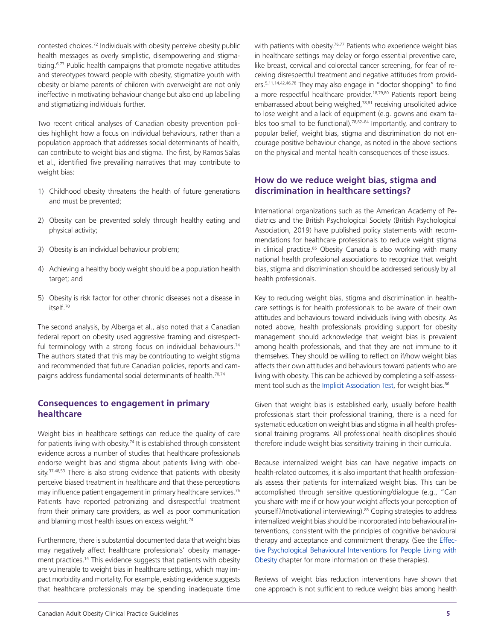contested choices.72 Individuals with obesity perceive obesity public health messages as overly simplistic, disempowering and stigmatizing.<sup>6,73</sup> Public health campaigns that promote negative attitudes and stereotypes toward people with obesity, stigmatize youth with obesity or blame parents of children with overweight are not only ineffective in motivating behaviour change but also end up labelling and stigmatizing individuals further.

Two recent critical analyses of Canadian obesity prevention policies highlight how a focus on individual behaviours, rather than a population approach that addresses social determinants of health, can contribute to weight bias and stigma. The first, by Ramos Salas et al., identified five prevailing narratives that may contribute to weight bias:

- 1) Childhood obesity threatens the health of future generations and must be prevented;
- 2) Obesity can be prevented solely through healthy eating and physical activity;
- 3) Obesity is an individual behaviour problem;
- 4) Achieving a healthy body weight should be a population health target; and
- 5) Obesity is risk factor for other chronic diseases not a disease in itself.70

The second analysis, by Alberga et al., also noted that a Canadian federal report on obesity used aggressive framing and disrespectful terminology with a strong focus on individual behaviours.<sup>74</sup> The authors stated that this may be contributing to weight stigma and recommended that future Canadian policies, reports and campaigns address fundamental social determinants of health.<sup>70,74</sup>

# **Consequences to engagement in primary healthcare**

Weight bias in healthcare settings can reduce the quality of care for patients living with obesity.<sup>74</sup> It is established through consistent evidence across a number of studies that healthcare professionals endorse weight bias and stigma about patients living with obesity.<sup>37,48,53</sup> There is also strong evidence that patients with obesity perceive biased treatment in healthcare and that these perceptions may influence patient engagement in primary healthcare services.<sup>75</sup> Patients have reported patronizing and disrespectful treatment from their primary care providers, as well as poor communication and blaming most health issues on excess weight.<sup>74</sup>

Furthermore, there is substantial documented data that weight bias may negatively affect healthcare professionals' obesity management practices.<sup>14</sup> This evidence suggests that patients with obesity are vulnerable to weight bias in healthcare settings, which may impact morbidity and mortality. For example, existing evidence suggests that healthcare professionals may be spending inadequate time

with patients with obesity.<sup>76,77</sup> Patients who experience weight bias in healthcare settings may delay or forgo essential preventive care, like breast, cervical and colorectal cancer screening, for fear of receiving disrespectful treatment and negative attitudes from providers.5,11,14,42,46,78 They may also engage in "doctor shopping" to find a more respectful healthcare provider.<sup>18,79,80</sup> Patients report being embarrassed about being weighed,78,81 receiving unsolicited advice to lose weight and a lack of equipment (e.g. gowns and exam tables too small to be functional).78,82–84 Importantly, and contrary to popular belief, weight bias, stigma and discrimination do not encourage positive behaviour change, as noted in the above sections on the physical and mental health consequences of these issues.

# **How do we reduce weight bias, stigma and discrimination in healthcare settings?**

International organizations such as the American Academy of Pediatrics and the British Psychological Society (British Psychological Association, 2019) have published policy statements with recommendations for healthcare professionals to reduce weight stigma in clinical practice.<sup>85</sup> Obesity Canada is also working with many national health professional associations to recognize that weight bias, stigma and discrimination should be addressed seriously by all health professionals.

Key to reducing weight bias, stigma and discrimination in healthcare settings is for health professionals to be aware of their own attitudes and behaviours toward individuals living with obesity. As noted above, health professionals providing support for obesity management should acknowledge that weight bias is prevalent among health professionals, and that they are not immune to it themselves. They should be willing to reflect on if/how weight bias affects their own attitudes and behaviours toward patients who are living with obesity. This can be achieved by completing a self-assess-ment tool such as the [Implicit Association Test,](https://implicit.harvard.edu/implicit/) for weight bias.<sup>86</sup>

Given that weight bias is established early, usually before health professionals start their professional training, there is a need for systematic education on weight bias and stigma in all health professional training programs. All professional health disciplines should therefore include weight bias sensitivity training in their curricula.

Because internalized weight bias can have negative impacts on health-related outcomes, it is also important that health professionals assess their patients for internalized weight bias. This can be accomplished through sensitive questioning/dialogue (e.g., "Can you share with me if or how your weight affects your perception of yourself?/motivational interviewing).<sup>85</sup> Coping strategies to address internalized weight bias should be incorporated into behavioural interventions, consistent with the principles of cognitive behavioural [therapy and acceptance and commitment therapy. \(See the Effec](www.obesitycanada.ca/guidelines/behavioural)tive Psychological Behavioural Interventions for People Living with Obesity chapter for more information on these therapies).

Reviews of weight bias reduction interventions have shown that one approach is not sufficient to reduce weight bias among health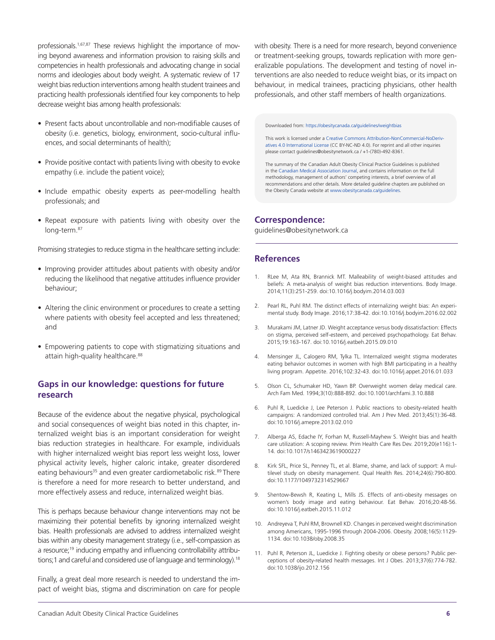professionals.<sup>1,67,87</sup> These reviews highlight the importance of moving beyond awareness and information provision to raising skills and competencies in health professionals and advocating change in social norms and ideologies about body weight. A systematic review of 17 weight bias reduction interventions among health student trainees and practicing health professionals identified four key components to help decrease weight bias among health professionals:

- Present facts about uncontrollable and non-modifiable causes of obesity (i.e. genetics, biology, environment, socio-cultural influences, and social determinants of health);
- Provide positive contact with patients living with obesity to evoke empathy (i.e. include the patient voice);
- • Include empathic obesity experts as peer-modelling health professionals; and
- Repeat exposure with patients living with obesity over the long-term.<sup>87</sup>

Promising strategies to reduce stigma in the healthcare setting include:

- Improving provider attitudes about patients with obesity and/or reducing the likelihood that negative attitudes influence provider behaviour;
- Altering the clinic environment or procedures to create a setting where patients with obesity feel accepted and less threatened; and
- Empowering patients to cope with stigmatizing situations and attain high-quality healthcare.<sup>88</sup>

### **Gaps in our knowledge: questions for future research**

Because of the evidence about the negative physical, psychological and social consequences of weight bias noted in this chapter, internalized weight bias is an important consideration for weight bias reduction strategies in healthcare. For example, individuals with higher internalized weight bias report less weight loss, lower physical activity levels, higher caloric intake, greater disordered eating behaviours<sup>35</sup> and even greater cardiometabolic risk.<sup>89</sup> There is therefore a need for more research to better understand, and more effectively assess and reduce, internalized weight bias.

This is perhaps because behaviour change interventions may not be maximizing their potential benefits by ignoring internalized weight bias. Health professionals are advised to address internalized weight bias within any obesity management strategy (i.e., self-compassion as a resource;<sup>19</sup> inducing empathy and influencing controllability attributions;1 and careful and considered use of language and terminology).<sup>18</sup>

Finally, a great deal more research is needed to understand the impact of weight bias, stigma and discrimination on care for people with obesity. There is a need for more research, beyond convenience or treatment-seeking groups, towards replication with more generalizable populations. The development and testing of novel interventions are also needed to reduce weight bias, or its impact on behaviour, in medical trainees, practicing physicians, other health professionals, and other staff members of health organizations.

Downloaded from: https://obesitycanada.ca/guidelines/weightbias

This work is licensed under a Creative Commons Attribution-NonCommercial-NoDerivatives 4.0 International License (CC BY-NC-ND 4.0). For reprint and all other inquiries please contact guidelines@obesitynetwork.ca / +1-(780)-492-8361.

The summary of the Canadian Adult Obesity Clinical Practice Guidelines is published in the [Canadian Medical Association Journal,](https://www.cmaj.ca/lookup/doi/10.1503/cmaj.191707) and contains information on the full methodology, management of authors' competing interests, a brief overview of all recommendations and other details. More detailed guideline chapters are published on the Obesity Canada website at www.obesitycanada.ca/guidelines.

#### **Correspondence:**

guidelines@obesitynetwork.ca

#### **References**

- RLee M, Ata RN, Brannick MT. Malleability of weight-biased attitudes and beliefs: A meta-analysis of weight bias reduction interventions. Body Image. 2014;11(3):251-259. doi:10.1016/j.bodyim.2014.03.003
- 2. Pearl RL, Puhl RM. The distinct effects of internalizing weight bias: An experimental study. Body Image. 2016;17:38-42. doi:10.1016/j.bodyim.2016.02.002
- 3. Murakami JM, Latner JD. Weight acceptance versus body dissatisfaction: Effects on stigma, perceived self-esteem, and perceived psychopathology. Eat Behav. 2015;19:163-167. doi:10.1016/j.eatbeh.2015.09.010
- 4. Mensinger JL, Calogero RM, Tylka TL. Internalized weight stigma moderates eating behavior outcomes in women with high BMI participating in a healthy living program. Appetite. 2016;102:32-43. doi:10.1016/j.appet.2016.01.033
- 5. Olson CL, Schumaker HD, Yawn BP. Overweight women delay medical care. Arch Fam Med. 1994;3(10):888-892. doi:10.1001/archfami.3.10.888
- 6. Puhl R, Luedicke J, Lee Peterson J. Public reactions to obesity-related health campaigns: A randomized controlled trial. Am J Prev Med. 2013;45(1):36-48. doi:10.1016/j.amepre.2013.02.010
- 7. Alberga AS, Edache IY, Forhan M, Russell-Mayhew S. Weight bias and health care utilization: A scoping review. Prim Health Care Res Dev. 2019;20(e116):1- 14. doi:10.1017/s1463423619000227
- 8. Kirk SFL, Price SL, Penney TL, et al. Blame, shame, and lack of support: A multilevel study on obesity management. Qual Health Res. 2014;24(6):790-800. doi:10.1177/1049732314529667
- 9. Shentow-Bewsh R, Keating L, Mills JS. Effects of anti-obesity messages on women's body image and eating behaviour. Eat Behav. 2016;20:48-56. doi:10.1016/j.eatbeh.2015.11.012
- 10. Andreyeva T, Puhl RM, Brownell KD. Changes in perceived weight discrimination among Americans, 1995-1996 through 2004-2006. Obesity. 2008;16(5):1129- 1134. doi:10.1038/oby.2008.35
- 11. Puhl R, Peterson JL, Luedicke J. Fighting obesity or obese persons? Public perceptions of obesity-related health messages. Int J Obes. 2013;37(6):774-782. doi:10.1038/ijo.2012.156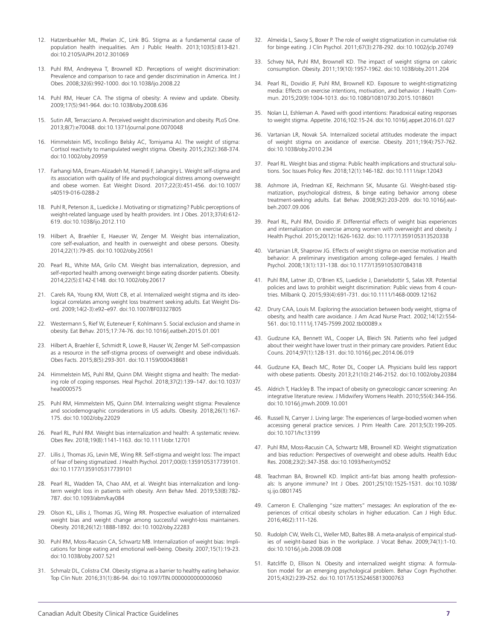- 12. Hatzenbuehler ML, Phelan JC, Link BG. Stigma as a fundamental cause of population health inequalities. Am J Public Health. 2013;103(5):813-821. doi:10.2105/AJPH.2012.301069
- 13. Puhl RM, Andreyeva T, Brownell KD. Perceptions of weight discrimination: Prevalence and comparison to race and gender discrimination in America. Int J Obes. 2008;32(6):992-1000. doi:10.1038/ijo.2008.22
- 14. Puhl RM, Heuer CA. The stigma of obesity: A review and update. Obesity. 2009;17(5):941-964. doi:10.1038/oby.2008.636
- 15. Sutin AR, Terracciano A. Perceived weight discrimination and obesity. PLoS One. 2013;8(7):e70048. doi:10.1371/journal.pone.0070048
- 16. Himmelstein MS, Incollingo Belsky AC, Tomiyama AJ. The weight of stigma: Cortisol reactivity to manipulated weight stigma. Obesity. 2015;23(2):368-374. doi:10.1002/oby.20959
- 17. Farhangi MA, Emam-Alizadeh M, Hamedi F, Jahangiry L. Weight self-stigma and its association with quality of life and psychological distress among overweight and obese women. Eat Weight Disord. 2017;22(3):451-456. doi:10.1007/ s40519-016-0288-2
- 18. Puhl R, Peterson JL, Luedicke J. Motivating or stigmatizing? Public perceptions of weight-related language used by health providers. Int J Obes. 2013;37(4):612- 619. doi:10.1038/ijo.2012.110
- 19. Hilbert A, Braehler E, Haeuser W, Zenger M. Weight bias internalization, core self-evaluation, and health in overweight and obese persons. Obesity. 2014;22(1):79-85. doi:10.1002/oby.20561
- 20. Pearl RL, White MA, Grilo CM. Weight bias internalization, depression, and self-reported health among overweight binge eating disorder patients. Obesity. 2014;22(5):E142-E148. doi:10.1002/oby.20617
- 21. Carels RA, Young KM, Wott CB, et al. Internalized weight stigma and its ideological correlates among weight loss treatment seeking adults. Eat Weight Disord. 2009;14(2-3):e92–e97. doi:10.1007/BF03327805
- 22. Westermann S, Rief W, Euteneuer F, Kohlmann S. Social exclusion and shame in obesity. Eat Behav. 2015;17:74-76. doi:10.1016/j.eatbeh.2015.01.001
- 23. Hilbert A, Braehler E, Schmidt R, Lowe B, Hauser W, Zenger M. Self-compassion as a resource in the self-stigma process of overweight and obese individuals. Obes Facts. 2015;8(5):293-301. doi:10.1159/000438681
- 24. Himmelstein MS, Puhl RM, Quinn DM. Weight stigma and health: The mediating role of coping responses. Heal Psychol. 2018;37(2):139–147. doi:10.1037/ hea0000575
- 25. Puhl RM, Himmelstein MS, Quinn DM. Internalizing weight stigma: Prevalence and sociodemographic considerations in US adults. Obesity. 2018;26(1):167- 175. doi:10.1002/oby.22029
- 26. Pearl RL, Puhl RM. Weight bias internalization and health: A systematic review. Obes Rev. 2018;19(8):1141-1163. doi:10.1111/obr.12701
- 27. Lillis J, Thomas JG, Levin ME, Wing RR. Self-stigma and weight loss: The impact of fear of being stigmatized. J Health Psychol. 2017;00(0):1359105317739101. doi:10.1177/1359105317739101
- 28. Pearl RL, Wadden TA, Chao AM, et al. Weight bias internalization and longterm weight loss in patients with obesity. Ann Behav Med. 2019;53(8):782- 787. doi:10.1093/abm/kay084
- 29. Olson KL, Lillis J, Thomas JG, Wing RR. Prospective evaluation of internalized weight bias and weight change among successful weight-loss maintainers. Obesity. 2018;26(12):1888-1892. doi:10.1002/oby.22283
- 30. Puhl RM, Moss-Racusin CA, Schwartz MB. Internalization of weight bias: Implications for binge eating and emotional well-being. Obesity. 2007;15(1):19-23. doi:10.1038/oby.2007.521
- 31. Schmalz DL, Colistra CM. Obesity stigma as a barrier to healthy eating behavior. Top Clin Nutr. 2016;31(1):86-94. doi:10.1097/TIN.0000000000000060
- 32. Almeida L, Savoy S, Boxer P. The role of weight stigmatization in cumulative risk for binge eating. J Clin Psychol. 2011;67(3):278-292. doi:10.1002/jclp.20749
- 33. Schvey NA, Puhl RM, Brownell KD. The impact of weight stigma on caloric consumption. Obesity. 2011;19(10):1957-1962. doi:10.1038/oby.2011.204
- 34. Pearl RL, Dovidio JF, Puhl RM, Brownell KD. Exposure to weight-stigmatizing media: Effects on exercise intentions, motivation, and behavior. J Health Commun. 2015;20(9):1004-1013. doi:10.1080/10810730.2015.1018601
- 35. Nolan LJ, Eshleman A. Paved with good intentions: Paradoxical eating responses to weight stigma. Appetite. 2016;102:15-24. doi:10.1016/j.appet.2016.01.027
- 36. Vartanian LR, Novak SA. Internalized societal attitudes moderate the impact of weight stigma on avoidance of exercise. Obesity. 2011;19(4):757-762. doi:10.1038/oby.2010.234
- 37. Pearl RL. Weight bias and stigma: Public health implications and structural solutions. Soc Issues Policy Rev. 2018;12(1):146-182. doi:10.1111/sipr.12043
- 38. Ashmore JA, Friedman KE, Reichmann SK, Musante GJ. Weight-based stigmatization, psychological distress, & binge eating behavior among obese treatment-seeking adults. Eat Behav. 2008;9(2):203-209. doi:10.1016/j.eatbeh.2007.09.006
- 39. Pearl RL, Puhl RM, Dovidio JF. Differential effects of weight bias experiences and internalization on exercise among women with overweight and obesity. J Health Psychol. 2015;20(12):1626-1632. doi:10.1177/1359105313520338
- 40. Vartanian LR, Shaprow JG. Effects of weight stigma on exercise motivation and behavior: A preliminary investigation among college-aged females. J Health Psychol. 2008;13(1):131-138. doi:10.1177/1359105307084318
- 41. Puhl RM, Latner JD, O'Brien KS, Luedicke J, Danielsdottir S, Salas XR. Potential policies and laws to prohibit weight discrimination: Public views from 4 countries. Milbank Q. 2015;93(4):691-731. doi:10.1111/1468-0009.12162
- 42. Drury CAA, Louis M. Exploring the association between body weight, stigma of obesity, and health care avoidance. J Am Acad Nurse Pract. 2002;14(12):554- 561. doi:10.1111/j.1745-7599.2002.tb00089.x
- 43. Gudzune KA, Bennett WL, Cooper LA, Bleich SN. Patients who feel judged about their weight have lower trust in their primary care providers. Patient Educ Couns. 2014;97(1):128-131. doi:10.1016/j.pec.2014.06.019
- 44. Gudzune KA, Beach MC, Roter DL, Cooper LA. Physicians build less rapport with obese patients. Obesity. 2013;21(10):2146-2152. doi:10.1002/oby.20384
- 45. Aldrich T, Hackley B. The impact of obesity on gynecologic cancer screening: An integrative literature review. J Midwifery Womens Health. 2010;55(4):344-356. doi:10.1016/j.jmwh.2009.10.001
- 46. Russell N, Carryer J. Living large: The experiences of large-bodied women when accessing general practice services. J Prim Health Care. 2013;5(3):199-205. doi:10.1071/hc13199
- 47. Puhl RM, Moss-Racusin CA, Schwartz MB, Brownell KD. Weight stigmatization and bias reduction: Perspectives of overweight and obese adults. Health Educ Res. 2008;23(2):347-358. doi:10.1093/her/cym052
- 48. Teachman BA, Brownell KD. Implicit anti-fat bias among health professionals: Is anyone immune? Int J Obes. 2001;25(10):1525-1531. doi:10.1038/ sj.ijo.0801745
- 49. Cameron E. Challenging "size matters" messages: An exploration of the experiences of critical obesity scholars in higher education. Can J High Educ. 2016;46(2):111-126.
- 50. Rudolph CW, Wells CL, Weller MD, Baltes BB. A meta-analysis of empirical studies of weight-based bias in the workplace. J Vocat Behav. 2009;74(1):1-10. doi:10.1016/j.jvb.2008.09.008
- 51. Ratcliffe D, Ellison N. Obesity and internalized weight stigma: A formulation model for an emerging psychological problem. Behav Cogn Psychother. 2015;43(2):239-252. doi:10.1017/S1352465813000763